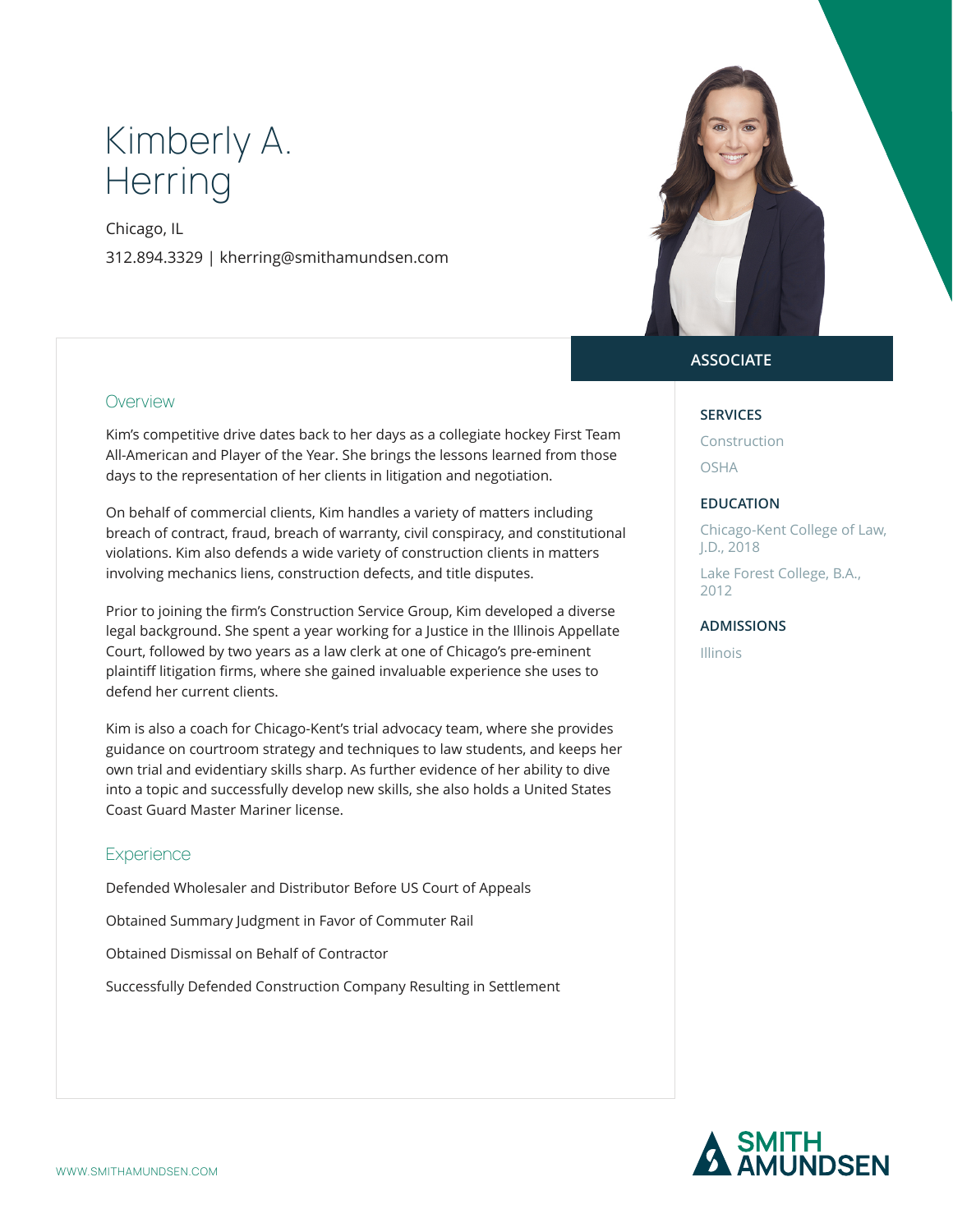# Kimberly A. **Herring**

Chicago, IL 312.894.3329 | kherring@smithamundsen.com



### **Overview**

Kim's competitive drive dates back to her days as a collegiate hockey First Team All-American and Player of the Year. She brings the lessons learned from those days to the representation of her clients in litigation and negotiation.

On behalf of commercial clients, Kim handles a variety of matters including breach of contract, fraud, breach of warranty, civil conspiracy, and constitutional violations. Kim also defends a wide variety of construction clients in matters involving mechanics liens, construction defects, and title disputes.

Prior to joining the firm's Construction Service Group, Kim developed a diverse legal background. She spent a year working for a Justice in the Illinois Appellate Court, followed by two years as a law clerk at one of Chicago's pre-eminent plaintiff litigation firms, where she gained invaluable experience she uses to defend her current clients.

Kim is also a coach for Chicago-Kent's trial advocacy team, where she provides guidance on courtroom strategy and techniques to law students, and keeps her own trial and evidentiary skills sharp. As further evidence of her ability to dive into a topic and successfully develop new skills, she also holds a United States Coast Guard Master Mariner license.

#### **Experience**

Defended Wholesaler and Distributor Before US Court of Appeals

Obtained Summary Judgment in Favor of Commuter Rail

Obtained Dismissal on Behalf of Contractor

Successfully Defended Construction Company Resulting in Settlement

## **ASSOCIATE**

#### **SERVICES**

Construction OSHA

#### **EDUCATION**

Chicago-Kent College of Law, J.D., 2018

Lake Forest College, B.A., 2012

#### **ADMISSIONS**

Illinois